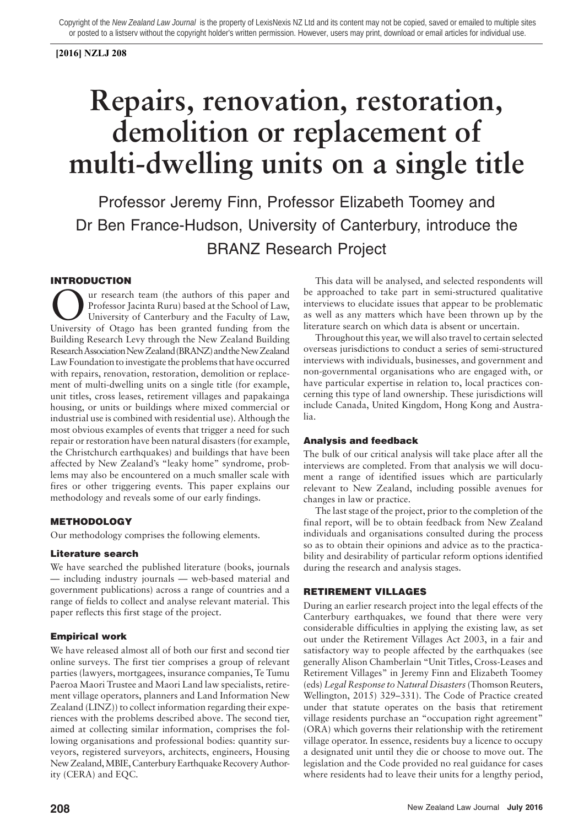## **[2016] NZLJ 208**

# **Repairs, renovation, restoration, demolition or replacement of multi-dwelling units on a single title**

Professor Jeremy Finn, Professor Elizabeth Toomey and Dr Ben France-Hudson, University of Canterbury, introduce the BRANZ Research Project

# INTRODUCTION

University of Canterbury and the School of Law,<br>University of Canterbury and the School of Law,<br>University of Otago has been granted funding from the ur research team (the authors of this paper and Professor Jacinta Ruru) based at the School of Law, University of Canterbury and the Faculty of Law, Building Research Levy through the New Zealand Building Research Association New Zealand (BRANZ) and the New Zealand Law Foundation to investigate the problems that have occurred with repairs, renovation, restoration, demolition or replacement of multi-dwelling units on a single title (for example, unit titles, cross leases, retirement villages and papakainga housing, or units or buildings where mixed commercial or industrial use is combined with residential use). Although the most obvious examples of events that trigger a need for such repair or restoration have been natural disasters (for example, the Christchurch earthquakes) and buildings that have been affected by New Zealand's "leaky home" syndrome, problems may also be encountered on a much smaller scale with fires or other triggering events. This paper explains our methodology and reveals some of our early findings.

# METHODOLOGY

Our methodology comprises the following elements.

## Literature search

We have searched the published literature (books, journals — including industry journals — web-based material and government publications) across a range of countries and a range of fields to collect and analyse relevant material. This paper reflects this first stage of the project.

# Empirical work

We have released almost all of both our first and second tier online surveys. The first tier comprises a group of relevant parties (lawyers, mortgagees, insurance companies, Te Tumu Paeroa Maori Trustee and Maori Land law specialists, retirement village operators, planners and Land Information New Zealand (LINZ)) to collect information regarding their experiences with the problems described above. The second tier, aimed at collecting similar information, comprises the following organisations and professional bodies: quantity surveyors, registered surveyors, architects, engineers, Housing New Zealand, MBIE, Canterbury Earthquake Recovery Authority (CERA) and EQC.

This data will be analysed, and selected respondents will be approached to take part in semi-structured qualitative interviews to elucidate issues that appear to be problematic as well as any matters which have been thrown up by the literature search on which data is absent or uncertain.

Throughout this year, we will also travel to certain selected overseas jurisdictions to conduct a series of semi-structured interviews with individuals, businesses, and government and non-governmental organisations who are engaged with, or have particular expertise in relation to, local practices concerning this type of land ownership. These jurisdictions will include Canada, United Kingdom, Hong Kong and Australia.

## Analysis and feedback

The bulk of our critical analysis will take place after all the interviews are completed. From that analysis we will document a range of identified issues which are particularly relevant to New Zealand, including possible avenues for changes in law or practice.

The last stage of the project, prior to the completion of the final report, will be to obtain feedback from New Zealand individuals and organisations consulted during the process so as to obtain their opinions and advice as to the practicability and desirability of particular reform options identified during the research and analysis stages.

# RETIREMENT VILLAGES

During an earlier research project into the legal effects of the Canterbury earthquakes, we found that there were very considerable difficulties in applying the existing law, as set out under the Retirement Villages Act 2003, in a fair and satisfactory way to people affected by the earthquakes (see generally Alison Chamberlain "Unit Titles, Cross-Leases and Retirement Villages" in Jeremy Finn and Elizabeth Toomey (eds) *Legal Response to Natural Disasters*(Thomson Reuters, Wellington, 2015) 329–331). The Code of Practice created under that statute operates on the basis that retirement village residents purchase an "occupation right agreement" (ORA) which governs their relationship with the retirement village operator. In essence, residents buy a licence to occupy a designated unit until they die or choose to move out. The legislation and the Code provided no real guidance for cases where residents had to leave their units for a lengthy period,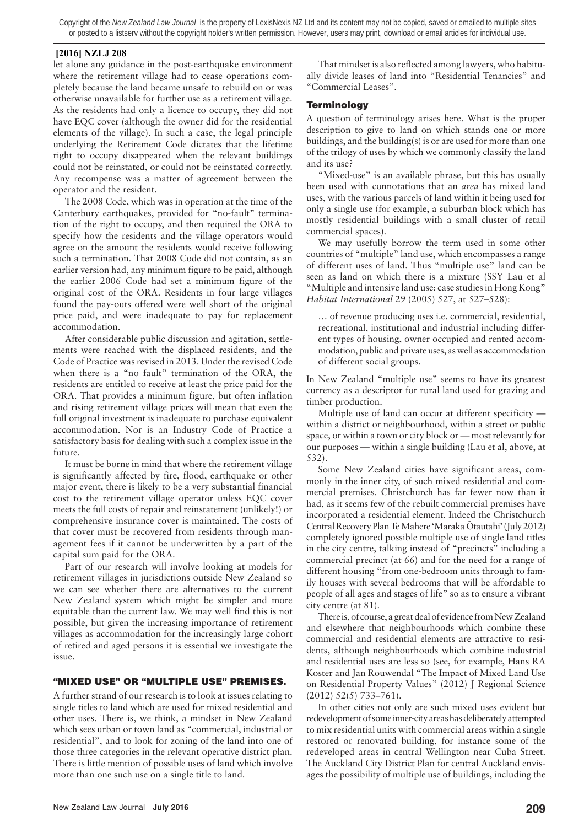#### **[2016] NZLJ 208**

let alone any guidance in the post-earthquake environment where the retirement village had to cease operations completely because the land became unsafe to rebuild on or was otherwise unavailable for further use as a retirement village. As the residents had only a licence to occupy, they did not have EQC cover (although the owner did for the residential elements of the village). In such a case, the legal principle underlying the Retirement Code dictates that the lifetime right to occupy disappeared when the relevant buildings could not be reinstated, or could not be reinstated correctly. Any recompense was a matter of agreement between the operator and the resident.

The 2008 Code, which was in operation at the time of the Canterbury earthquakes, provided for "no-fault" termination of the right to occupy, and then required the ORA to specify how the residents and the village operators would agree on the amount the residents would receive following such a termination. That 2008 Code did not contain, as an earlier version had, any minimum figure to be paid, although the earlier 2006 Code had set a minimum figure of the original cost of the ORA. Residents in four large villages found the pay-outs offered were well short of the original price paid, and were inadequate to pay for replacement accommodation.

After considerable public discussion and agitation, settlements were reached with the displaced residents, and the Code of Practice was revised in 2013. Under the revised Code when there is a "no fault" termination of the ORA, the residents are entitled to receive at least the price paid for the ORA. That provides a minimum figure, but often inflation and rising retirement village prices will mean that even the full original investment is inadequate to purchase equivalent accommodation. Nor is an Industry Code of Practice a satisfactory basis for dealing with such a complex issue in the future.

It must be borne in mind that where the retirement village is significantly affected by fire, flood, earthquake or other major event, there is likely to be a very substantial financial cost to the retirement village operator unless EQC cover meets the full costs of repair and reinstatement (unlikely!) or comprehensive insurance cover is maintained. The costs of that cover must be recovered from residents through management fees if it cannot be underwritten by a part of the capital sum paid for the ORA.

Part of our research will involve looking at models for retirement villages in jurisdictions outside New Zealand so we can see whether there are alternatives to the current New Zealand system which might be simpler and more equitable than the current law. We may well find this is not possible, but given the increasing importance of retirement villages as accommodation for the increasingly large cohort of retired and aged persons it is essential we investigate the issue.

## "MIXED USE" OR "MULTIPLE USE" PREMISES.

A further strand of our research is to look at issues relating to single titles to land which are used for mixed residential and other uses. There is, we think, a mindset in New Zealand which sees urban or town land as "commercial, industrial or residential", and to look for zoning of the land into one of those three categories in the relevant operative district plan. There is little mention of possible uses of land which involve more than one such use on a single title to land.

That mindset is also reflected among lawyers, who habitually divide leases of land into "Residential Tenancies" and "Commercial Leases".

## **Terminology**

A question of terminology arises here. What is the proper description to give to land on which stands one or more buildings, and the building(s) is or are used for more than one of the trilogy of uses by which we commonly classify the land and its use?

"Mixed-use" is an available phrase, but this has usually been used with connotations that an *area* has mixed land uses, with the various parcels of land within it being used for only a single use (for example, a suburban block which has mostly residential buildings with a small cluster of retail commercial spaces).

We may usefully borrow the term used in some other countries of "multiple" land use, which encompasses a range of different uses of land. Thus "multiple use" land can be seen as land on which there is a mixture (SSY Lau et al "Multiple and intensive land use: case studies in Hong Kong" *Habitat International* 29 (2005) 527, at 527–528):

… of revenue producing uses i.e. commercial, residential, recreational, institutional and industrial including different types of housing, owner occupied and rented accommodation, public and private uses, as well as accommodation of different social groups.

In New Zealand "multiple use" seems to have its greatest currency as a descriptor for rural land used for grazing and timber production.

Multiple use of land can occur at different specificity within a district or neighbourhood, within a street or public space, or within a town or city block or — most relevantly for our purposes — within a single building (Lau et al, above, at 532).

Some New Zealand cities have significant areas, commonly in the inner city, of such mixed residential and commercial premises. Christchurch has far fewer now than it had, as it seems few of the rebuilt commercial premises have incorporated a residential element. Indeed the Christchurch Central Recovery Plan Te Mahere 'Maraka Ōtautahi' (July 2012) completely ignored possible multiple use of single land titles in the city centre, talking instead of "precincts" including a commercial precinct (at 66) and for the need for a range of different housing "from one-bedroom units through to family houses with several bedrooms that will be affordable to people of all ages and stages of life" so as to ensure a vibrant city centre (at 81).

There is, of course, a great deal of evidence from New Zealand and elsewhere that neighbourhoods which combine these commercial and residential elements are attractive to residents, although neighbourhoods which combine industrial and residential uses are less so (see, for example, Hans RA Koster and Jan Rouwendal "The Impact of Mixed Land Use on Residential Property Values" (2012) J Regional Science (2012) 52(5) 733–761).

In other cities not only are such mixed uses evident but redevelopment of some inner-city areas has deliberately attempted to mix residential units with commercial areas within a single restored or renovated building, for instance some of the redeveloped areas in central Wellington near Cuba Street. The Auckland City District Plan for central Auckland envisages the possibility of multiple use of buildings, including the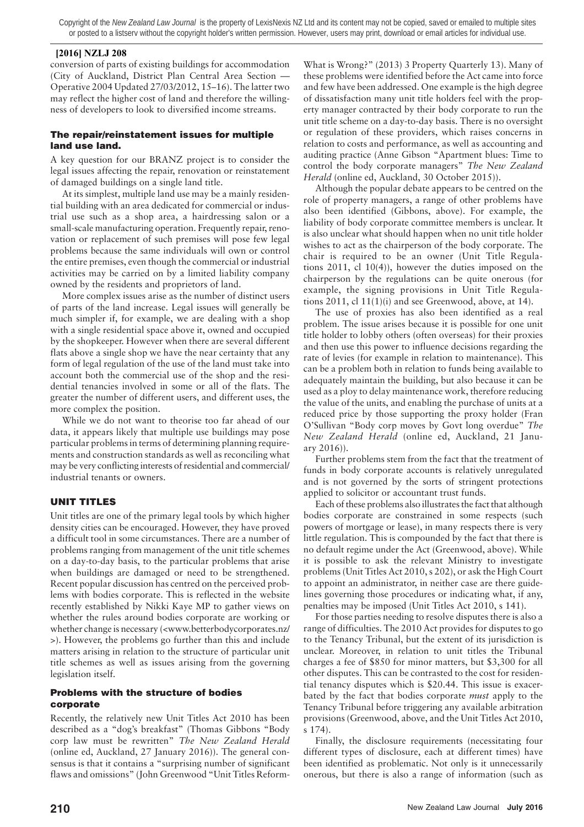#### **[2016] NZLJ 208**

conversion of parts of existing buildings for accommodation (City of Auckland, District Plan Central Area Section — Operative 2004 Updated 27/03/2012, 15–16). The latter two may reflect the higher cost of land and therefore the willingness of developers to look to diversified income streams.

## The repair/reinstatement issues for multiple land use land.

A key question for our BRANZ project is to consider the legal issues affecting the repair, renovation or reinstatement of damaged buildings on a single land title.

At its simplest, multiple land use may be a mainly residential building with an area dedicated for commercial or industrial use such as a shop area, a hairdressing salon or a small-scale manufacturing operation. Frequently repair, renovation or replacement of such premises will pose few legal problems because the same individuals will own or control the entire premises, even though the commercial or industrial activities may be carried on by a limited liability company owned by the residents and proprietors of land.

More complex issues arise as the number of distinct users of parts of the land increase. Legal issues will generally be much simpler if, for example, we are dealing with a shop with a single residential space above it, owned and occupied by the shopkeeper. However when there are several different flats above a single shop we have the near certainty that any form of legal regulation of the use of the land must take into account both the commercial use of the shop and the residential tenancies involved in some or all of the flats. The greater the number of different users, and different uses, the more complex the position.

While we do not want to theorise too far ahead of our data, it appears likely that multiple use buildings may pose particular problems in terms of determining planning requirements and construction standards as well as reconciling what may be very conflicting interests of residential and commercial/ industrial tenants or owners.

# UNIT TITLES

Unit titles are one of the primary legal tools by which higher density cities can be encouraged. However, they have proved a difficult tool in some circumstances. There are a number of problems ranging from management of the unit title schemes on a day-to-day basis, to the particular problems that arise when buildings are damaged or need to be strengthened. Recent popular discussion has centred on the perceived problems with bodies corporate. This is reflected in the website recently established by Nikki Kaye MP to gather views on whether the rules around bodies corporate are working or whether change is necessary (<www.betterbodycorporates.nz/ >). However, the problems go further than this and include matters arising in relation to the structure of particular unit title schemes as well as issues arising from the governing legislation itself.

## Problems with the structure of bodies corporate

Recently, the relatively new Unit Titles Act 2010 has been described as a "dog's breakfast" (Thomas Gibbons "Body corp law must be rewritten" *The New Zealand Herald* (online ed, Auckland, 27 January 2016)). The general consensus is that it contains a "surprising number of significant flaws and omissions" (John Greenwood "Unit Titles ReformWhat is Wrong?" (2013) 3 Property Quarterly 13). Many of these problems were identified before the Act came into force and few have been addressed. One example is the high degree of dissatisfaction many unit title holders feel with the property manager contracted by their body corporate to run the unit title scheme on a day-to-day basis. There is no oversight or regulation of these providers, which raises concerns in relation to costs and performance, as well as accounting and auditing practice (Anne Gibson "Apartment blues: Time to control the body corporate managers" *The New Zealand Herald* (online ed, Auckland, 30 October 2015)).

Although the popular debate appears to be centred on the role of property managers, a range of other problems have also been identified (Gibbons, above). For example, the liability of body corporate committee members is unclear. It is also unclear what should happen when no unit title holder wishes to act as the chairperson of the body corporate. The chair is required to be an owner (Unit Title Regulations 2011, cl 10(4)), however the duties imposed on the chairperson by the regulations can be quite onerous (for example, the signing provisions in Unit Title Regulations 2011, cl 11(1)(i) and see Greenwood, above, at  $14$ ).

The use of proxies has also been identified as a real problem. The issue arises because it is possible for one unit title holder to lobby others (often overseas) for their proxies and then use this power to influence decisions regarding the rate of levies (for example in relation to maintenance). This can be a problem both in relation to funds being available to adequately maintain the building, but also because it can be used as a ploy to delay maintenance work, therefore reducing the value of the units, and enabling the purchase of units at a reduced price by those supporting the proxy holder (Fran O'Sullivan "Body corp moves by Govt long overdue" *The New Zealand Herald* (online ed, Auckland, 21 January 2016)).

Further problems stem from the fact that the treatment of funds in body corporate accounts is relatively unregulated and is not governed by the sorts of stringent protections applied to solicitor or accountant trust funds.

Each of these problems also illustrates the fact that although bodies corporate are constrained in some respects (such powers of mortgage or lease), in many respects there is very little regulation. This is compounded by the fact that there is no default regime under the Act (Greenwood, above). While it is possible to ask the relevant Ministry to investigate problems (Unit Titles Act 2010, s 202), or ask the High Court to appoint an administrator, in neither case are there guidelines governing those procedures or indicating what, if any, penalties may be imposed (Unit Titles Act 2010, s 141).

For those parties needing to resolve disputes there is also a range of difficulties. The 2010 Act provides for disputes to go to the Tenancy Tribunal, but the extent of its jurisdiction is unclear. Moreover, in relation to unit titles the Tribunal charges a fee of \$850 for minor matters, but \$3,300 for all other disputes. This can be contrasted to the cost for residential tenancy disputes which is \$20.44. This issue is exacerbated by the fact that bodies corporate *must* apply to the Tenancy Tribunal before triggering any available arbitration provisions (Greenwood, above, and the Unit Titles Act 2010, s 174).

Finally, the disclosure requirements (necessitating four different types of disclosure, each at different times) have been identified as problematic. Not only is it unnecessarily onerous, but there is also a range of information (such as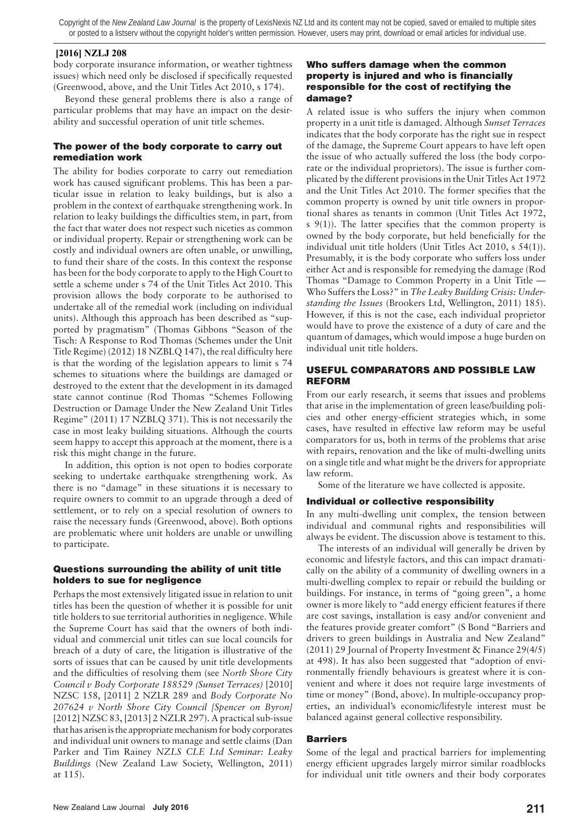#### **[2016] NZLJ 208**

body corporate insurance information, or weather tightness issues) which need only be disclosed if specifically requested (Greenwood, above, and the Unit Titles Act 2010, s 174).

Beyond these general problems there is also a range of particular problems that may have an impact on the desirability and successful operation of unit title schemes.

#### The power of the body corporate to carry out remediation work

The ability for bodies corporate to carry out remediation work has caused significant problems. This has been a particular issue in relation to leaky buildings, but is also a problem in the context of earthquake strengthening work. In relation to leaky buildings the difficulties stem, in part, from the fact that water does not respect such niceties as common or individual property. Repair or strengthening work can be costly and individual owners are often unable, or unwilling, to fund their share of the costs. In this context the response has been for the body corporate to apply to the High Court to settle a scheme under s 74 of the Unit Titles Act 2010. This provision allows the body corporate to be authorised to undertake all of the remedial work (including on individual units). Although this approach has been described as "supported by pragmatism" (Thomas Gibbons "Season of the Tisch: A Response to Rod Thomas (Schemes under the Unit Title Regime) (2012) 18 NZBLQ 147), the real difficulty here is that the wording of the legislation appears to limit s 74 schemes to situations where the buildings are damaged or destroyed to the extent that the development in its damaged state cannot continue (Rod Thomas "Schemes Following Destruction or Damage Under the New Zealand Unit Titles Regime" (2011) 17 NZBLQ 371). This is not necessarily the case in most leaky building situations. Although the courts seem happy to accept this approach at the moment, there is a risk this might change in the future.

In addition, this option is not open to bodies corporate seeking to undertake earthquake strengthening work. As there is no "damage" in these situations it is necessary to require owners to commit to an upgrade through a deed of settlement, or to rely on a special resolution of owners to raise the necessary funds (Greenwood, above). Both options are problematic where unit holders are unable or unwilling to participate.

#### Questions surrounding the ability of unit title holders to sue for negligence

Perhaps the most extensively litigated issue in relation to unit titles has been the question of whether it is possible for unit title holders to sue territorial authorities in negligence. While the Supreme Court has said that the owners of both individual and commercial unit titles can sue local councils for breach of a duty of care, the litigation is illustrative of the sorts of issues that can be caused by unit title developments and the difficulties of resolving them (see *North Shore City Council v Body Corporate 188529 (Sunset Terraces)* [2010] NZSC 158, [2011] 2 NZLR 289 and *Body Corporate No 207624 v North Shore City Council [Spencer on Byron]* [2012] NZSC 83, [2013] 2 NZLR 297). A practical sub-issue that has arisen is the appropriate mechanism for body corporates and individual unit owners to manage and settle claims (Dan Parker and Tim Rainey *NZLS CLE Ltd Seminar: Leaky Buildings* (New Zealand Law Society, Wellington, 2011) at 115).

#### Who suffers damage when the common property is injured and who is financially responsible for the cost of rectifying the damage?

A related issue is who suffers the injury when common property in a unit title is damaged. Although *Sunset Terraces* indicates that the body corporate has the right sue in respect of the damage, the Supreme Court appears to have left open the issue of who actually suffered the loss (the body corporate or the individual proprietors). The issue is further complicated by the different provisions in the Unit Titles Act 1972 and the Unit Titles Act 2010. The former specifies that the common property is owned by unit title owners in proportional shares as tenants in common (Unit Titles Act 1972, s 9(1)). The latter specifies that the common property is owned by the body corporate, but held beneficially for the individual unit title holders (Unit Titles Act 2010, s 54(1)). Presumably, it is the body corporate who suffers loss under either Act and is responsible for remedying the damage (Rod Thomas "Damage to Common Property in a Unit Title — Who Suffers the Loss?" in *The Leaky Building Crisis: Understanding the Issues* (Brookers Ltd, Wellington, 2011) 185). However, if this is not the case, each individual proprietor would have to prove the existence of a duty of care and the quantum of damages, which would impose a huge burden on individual unit title holders.

## USEFUL COMPARATORS AND POSSIBLE LAW REFORM

From our early research, it seems that issues and problems that arise in the implementation of green lease/building policies and other energy-efficient strategies which, in some cases, have resulted in effective law reform may be useful comparators for us, both in terms of the problems that arise with repairs, renovation and the like of multi-dwelling units on a single title and what might be the drivers for appropriate law reform.

Some of the literature we have collected is apposite.

## Individual or collective responsibility

In any multi-dwelling unit complex, the tension between individual and communal rights and responsibilities will always be evident. The discussion above is testament to this.

The interests of an individual will generally be driven by economic and lifestyle factors, and this can impact dramatically on the ability of a community of dwelling owners in a multi-dwelling complex to repair or rebuild the building or buildings. For instance, in terms of "going green", a home owner is more likely to "add energy efficient features if there are cost savings, installation is easy and/or convenient and the features provide greater comfort" (S Bond "Barriers and drivers to green buildings in Australia and New Zealand" (2011) 29 Journal of Property Investment & Finance 29(4/5) at 498). It has also been suggested that "adoption of environmentally friendly behaviours is greatest where it is convenient and where it does not require large investments of time or money" (Bond, above). In multiple-occupancy properties, an individual's economic/lifestyle interest must be balanced against general collective responsibility.

## **Barriers**

Some of the legal and practical barriers for implementing energy efficient upgrades largely mirror similar roadblocks for individual unit title owners and their body corporates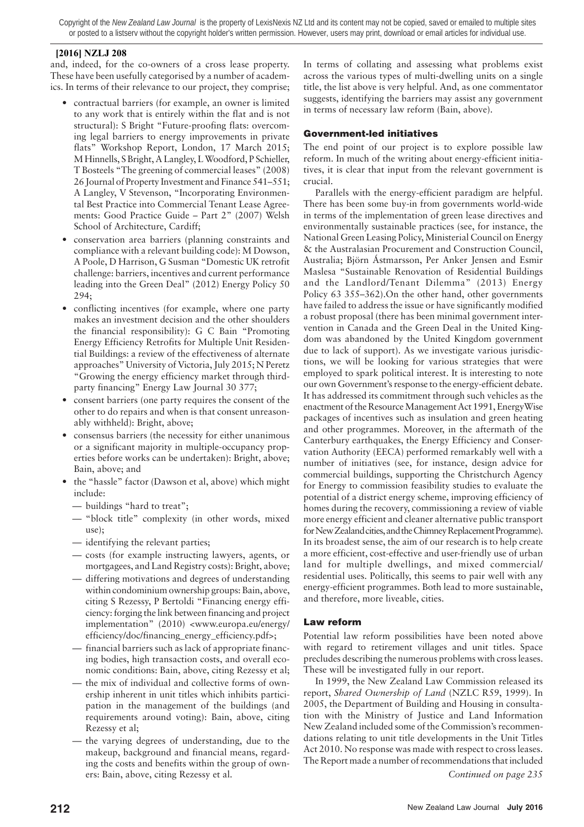## **[2016] NZLJ 208**

and, indeed, for the co-owners of a cross lease property. These have been usefully categorised by a number of academics. In terms of their relevance to our project, they comprise;

- contractual barriers (for example, an owner is limited to any work that is entirely within the flat and is not structural): S Bright "Future-proofing flats: overcoming legal barriers to energy improvements in private flats" Workshop Report, London, 17 March 2015; M Hinnells, S Bright, A Langley, L Woodford, P Schieller, T Bosteels "The greening of commercial leases" (2008) 26 Journal of Property Investment and Finance 541–551; A Langley, V Stevenson, "Incorporating Environmental Best Practice into Commercial Tenant Lease Agreements: Good Practice Guide – Part 2" (2007) Welsh School of Architecture, Cardiff;
- conservation area barriers (planning constraints and compliance with a relevant building code): M Dowson, A Poole, D Harrison, G Susman "Domestic UK retrofit challenge: barriers, incentives and current performance leading into the Green Deal" (2012) Energy Policy 50 294;
- conflicting incentives (for example, where one party makes an investment decision and the other shoulders the financial responsibility): G C Bain "Promoting Energy Efficiency Retrofits for Multiple Unit Residential Buildings: a review of the effectiveness of alternate approaches" University of Victoria, July 2015; N Peretz "Growing the energy efficiency market through thirdparty financing" Energy Law Journal 30 377;
- consent barriers (one party requires the consent of the other to do repairs and when is that consent unreasonably withheld): Bright, above;
- consensus barriers (the necessity for either unanimous or a significant majority in multiple-occupancy properties before works can be undertaken): Bright, above; Bain, above; and
- the "hassle" factor (Dawson et al, above) which might include:
	- buildings "hard to treat";
	- "block title" complexity (in other words, mixed use);
	- identifying the relevant parties;
	- costs (for example instructing lawyers, agents, or mortgagees, and Land Registry costs): Bright, above;
	- differing motivations and degrees of understanding within condominium ownership groups: Bain, above, citing S Rezessy, P Bertoldi "Financing energy efficiency: forging the link between financing and project implementation" (2010) <www.europa.eu/energy/ efficiency/doc/financing\_energy\_efficiency.pdf>;
	- financial barriers such as lack of appropriate financing bodies, high transaction costs, and overall economic conditions: Bain, above, citing Rezessy et al;
	- the mix of individual and collective forms of ownership inherent in unit titles which inhibits participation in the management of the buildings (and requirements around voting): Bain, above, citing Rezessy et al;
	- the varying degrees of understanding, due to the makeup, background and financial means, regarding the costs and benefits within the group of owners: Bain, above, citing Rezessy et al.

In terms of collating and assessing what problems exist across the various types of multi-dwelling units on a single title, the list above is very helpful. And, as one commentator suggests, identifying the barriers may assist any government in terms of necessary law reform (Bain, above).

## Government-led initiatives

The end point of our project is to explore possible law reform. In much of the writing about energy-efficient initiatives, it is clear that input from the relevant government is crucial.

Parallels with the energy-efficient paradigm are helpful. There has been some buy-in from governments world-wide in terms of the implementation of green lease directives and environmentally sustainable practices (see, for instance, the National Green Leasing Policy, Ministerial Council on Energy & the Australasian Procurement and Construction Council, Australia; Björn Ástmarsson, Per Anker Jensen and Esmir Maslesa "Sustainable Renovation of Residential Buildings and the Landlord/Tenant Dilemma" (2013) Energy Policy 63 355–362).On the other hand, other governments have failed to address the issue or have significantly modified a robust proposal (there has been minimal government intervention in Canada and the Green Deal in the United Kingdom was abandoned by the United Kingdom government due to lack of support). As we investigate various jurisdictions, we will be looking for various strategies that were employed to spark political interest. It is interesting to note our own Government's response to the energy-efficient debate. It has addressed its commitment through such vehicles as the enactment of the Resource Management Act 1991, EnergyWise packages of incentives such as insulation and green heating and other programmes. Moreover, in the aftermath of the Canterbury earthquakes, the Energy Efficiency and Conservation Authority (EECA) performed remarkably well with a number of initiatives (see, for instance, design advice for commercial buildings, supporting the Christchurch Agency for Energy to commission feasibility studies to evaluate the potential of a district energy scheme, improving efficiency of homes during the recovery, commissioning a review of viable more energy efficient and cleaner alternative public transport for New Zealand cities, and the Chimney Replacement Programme). In its broadest sense, the aim of our research is to help create a more efficient, cost-effective and user-friendly use of urban land for multiple dwellings, and mixed commercial/ residential uses. Politically, this seems to pair well with any energy-efficient programmes. Both lead to more sustainable, and therefore, more liveable, cities.

## Law reform

Potential law reform possibilities have been noted above with regard to retirement villages and unit titles. Space precludes describing the numerous problems with cross leases. These will be investigated fully in our report.

In 1999, the New Zealand Law Commission released its report, *Shared Ownership of Land* (NZLC R59, 1999). In 2005, the Department of Building and Housing in consultation with the Ministry of Justice and Land Information New Zealand included some of the Commission's recommendations relating to unit title developments in the Unit Titles Act 2010. No response was made with respect to cross leases. The Report made a number of recommendations that included

*Continued on page 235*